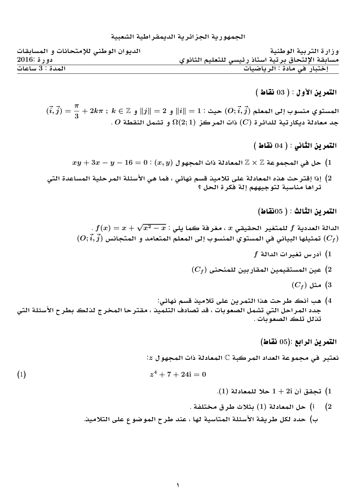## الحمهو ر بة الحز ائر بة الديمقر اطبة ال*شعبي*ة

| الديوان الوطني للإمتحانات و المسابقات | وزارة التربية الوطنية                             |
|---------------------------------------|---------------------------------------------------|
| $2016:$ دورة                          | مسابقة الإلتحاق برتية استاذ رئيسى للتعليم الثانوي |
| المدة : 3 ساعات                       | إختبار في مادة : الرياضيات                        |

 $($  التمرين الأول $( 3 )$  (  $\mathbf{0}$  نقاط

 $(\vec{i},\vec{j}) = \frac{\pi}{2}$  $\frac{3}{3}+2k\pi\;;\; k\in\mathbb{Z}$  المستوي منسوب إلى المعلم  $(O;\vec{i},\vec{j})$  حيث $||\vec{i}||=2$  و $||\vec{j}||\in\mathbb{Z}$  و  $\overline{C}$  جد معادلة ديكار تية للدائرة  $(C)$  ذات المركز  $\Omega(2;1)$  و تشمل النقطة

 $($  التمرين الثاني :  $( 04 )$  نقاط

- $xy + 3x y 16 = 0$  :  $(x, y)$  حل في المجموعة $\mathbb{Z} \times \mathbb{Z}$  المعادلة ذات المجهول  $(1$
- 2) إذا إقترحت هذه المعادلة على تلاميذ قسم نهائى ، فما هي الأسئلة المرحلية المساعدة التي تراها مناسبة لتوجيههم إلة فكرة الحل ؟

 $($ التمرين الثالث :  $($   $65)$ نقاط

$$
f(x) = x + \sqrt{x^2 - x} : L
$$
الد**انة** العددية f للمتغير الحقيقي  $x$ ، مغرفة ڪما يلي  $L$  و $f(\vec{i}, \vec{j})$  تمثيلها البياني في المستوي المنسون با يلى المعلم المتحامد و المتحانس ( $C_f$ )

- $f$  أدرس تغيرات الدالة  $\left(1\right)$
- (C<sup>f</sup> ) **Ynnml yCAqm ymyqtsm y (**2
	- $(C_f)$  مثل  $(3$
- 4) هب أنك طرحت هذا التمرين على تلاميذ قسم نهائي: جدد المراحل التي تشمل الصعوبات ، قد تصادف التلميذ ، مقتر حا المخر ج لذلك بطر ح الأسئلة التي تذلل تلك الصعوبات .

 $($ التمرين الرابع  $(5)$ نقاط

**:**<sup>z</sup> **whm Ð T A`m** <sup>C</sup> **Tbrm d` Twm ¨ rbt`**

$$
(1) \t\t\t z4 + 7 + 24i = 0
$$

- **.**(1) **T A`ml ®** 1 + 2i  **q (**1
- **. Tflt rV ®** (1) **T A`m ( (**2 ب) حدد لكل طريقة الأسئلة المتاسية لها ، عند طرح الموضوع على التلاميد.